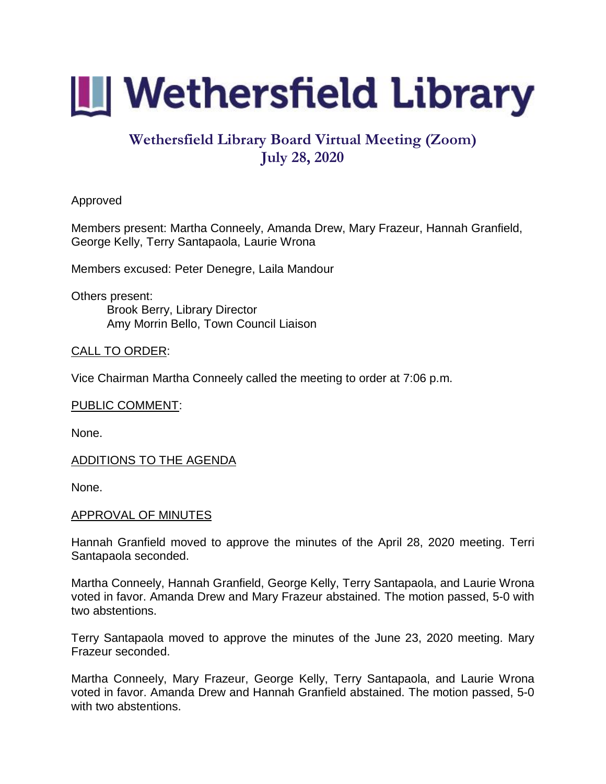

# **Wethersfield Library Board Virtual Meeting (Zoom) July 28, 2020**

## Approved

Members present: Martha Conneely, Amanda Drew, Mary Frazeur, Hannah Granfield, George Kelly, Terry Santapaola, Laurie Wrona

Members excused: Peter Denegre, Laila Mandour

Others present: Brook Berry, Library Director Amy Morrin Bello, Town Council Liaison

## CALL TO ORDER:

Vice Chairman Martha Conneely called the meeting to order at 7:06 p.m.

## PUBLIC COMMENT:

None.

## ADDITIONS TO THE AGENDA

None.

## APPROVAL OF MINUTES

Hannah Granfield moved to approve the minutes of the April 28, 2020 meeting. Terri Santapaola seconded.

Martha Conneely, Hannah Granfield, George Kelly, Terry Santapaola, and Laurie Wrona voted in favor. Amanda Drew and Mary Frazeur abstained. The motion passed, 5-0 with two abstentions.

Terry Santapaola moved to approve the minutes of the June 23, 2020 meeting. Mary Frazeur seconded.

Martha Conneely, Mary Frazeur, George Kelly, Terry Santapaola, and Laurie Wrona voted in favor. Amanda Drew and Hannah Granfield abstained. The motion passed, 5-0 with two abstentions.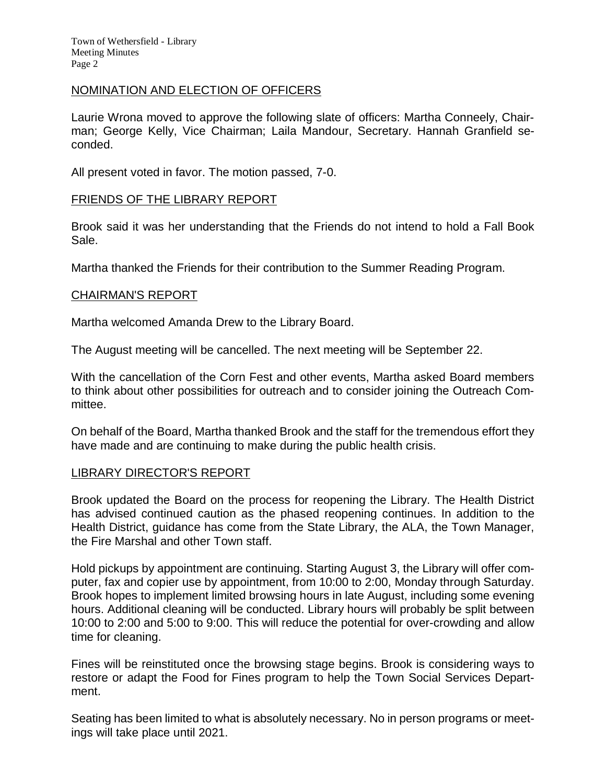Town of Wethersfield - Library Meeting Minutes Page 2

#### NOMINATION AND ELECTION OF OFFICERS

Laurie Wrona moved to approve the following slate of officers: Martha Conneely, Chairman; George Kelly, Vice Chairman; Laila Mandour, Secretary. Hannah Granfield seconded.

All present voted in favor. The motion passed, 7-0.

#### FRIENDS OF THE LIBRARY REPORT

Brook said it was her understanding that the Friends do not intend to hold a Fall Book Sale.

Martha thanked the Friends for their contribution to the Summer Reading Program.

#### CHAIRMAN'S REPORT

Martha welcomed Amanda Drew to the Library Board.

The August meeting will be cancelled. The next meeting will be September 22.

With the cancellation of the Corn Fest and other events, Martha asked Board members to think about other possibilities for outreach and to consider joining the Outreach Committee.

On behalf of the Board, Martha thanked Brook and the staff for the tremendous effort they have made and are continuing to make during the public health crisis.

#### LIBRARY DIRECTOR'S REPORT

Brook updated the Board on the process for reopening the Library. The Health District has advised continued caution as the phased reopening continues. In addition to the Health District, guidance has come from the State Library, the ALA, the Town Manager, the Fire Marshal and other Town staff.

Hold pickups by appointment are continuing. Starting August 3, the Library will offer computer, fax and copier use by appointment, from 10:00 to 2:00, Monday through Saturday. Brook hopes to implement limited browsing hours in late August, including some evening hours. Additional cleaning will be conducted. Library hours will probably be split between 10:00 to 2:00 and 5:00 to 9:00. This will reduce the potential for over-crowding and allow time for cleaning.

Fines will be reinstituted once the browsing stage begins. Brook is considering ways to restore or adapt the Food for Fines program to help the Town Social Services Department.

Seating has been limited to what is absolutely necessary. No in person programs or meetings will take place until 2021.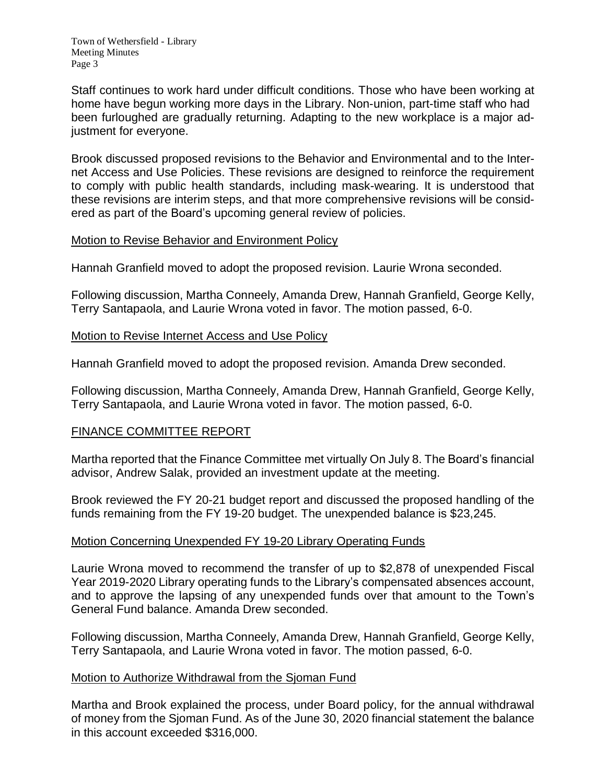Staff continues to work hard under difficult conditions. Those who have been working at home have begun working more days in the Library. Non-union, part-time staff who had been furloughed are gradually returning. Adapting to the new workplace is a major adiustment for everyone.

Brook discussed proposed revisions to the Behavior and Environmental and to the Internet Access and Use Policies. These revisions are designed to reinforce the requirement to comply with public health standards, including mask-wearing. It is understood that these revisions are interim steps, and that more comprehensive revisions will be considered as part of the Board's upcoming general review of policies.

## Motion to Revise Behavior and Environment Policy

Hannah Granfield moved to adopt the proposed revision. Laurie Wrona seconded.

Following discussion, Martha Conneely, Amanda Drew, Hannah Granfield, George Kelly, Terry Santapaola, and Laurie Wrona voted in favor. The motion passed, 6-0.

## Motion to Revise Internet Access and Use Policy

Hannah Granfield moved to adopt the proposed revision. Amanda Drew seconded.

Following discussion, Martha Conneely, Amanda Drew, Hannah Granfield, George Kelly, Terry Santapaola, and Laurie Wrona voted in favor. The motion passed, 6-0.

## FINANCE COMMITTEE REPORT

Martha reported that the Finance Committee met virtually On July 8. The Board's financial advisor, Andrew Salak, provided an investment update at the meeting.

Brook reviewed the FY 20-21 budget report and discussed the proposed handling of the funds remaining from the FY 19-20 budget. The unexpended balance is \$23,245.

## Motion Concerning Unexpended FY 19-20 Library Operating Funds

Laurie Wrona moved to recommend the transfer of up to \$2,878 of unexpended Fiscal Year 2019-2020 Library operating funds to the Library's compensated absences account, and to approve the lapsing of any unexpended funds over that amount to the Town's General Fund balance. Amanda Drew seconded.

Following discussion, Martha Conneely, Amanda Drew, Hannah Granfield, George Kelly, Terry Santapaola, and Laurie Wrona voted in favor. The motion passed, 6-0.

## Motion to Authorize Withdrawal from the Sjoman Fund

Martha and Brook explained the process, under Board policy, for the annual withdrawal of money from the Sjoman Fund. As of the June 30, 2020 financial statement the balance in this account exceeded \$316,000.